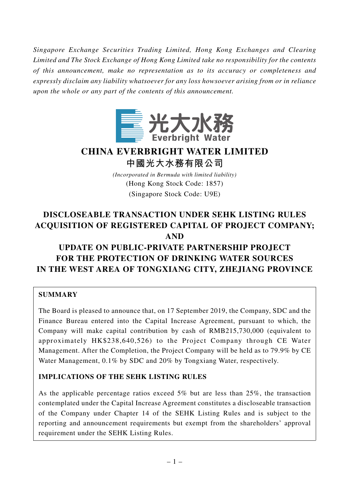*Singapore Exchange Securities Trading Limited, Hong Kong Exchanges and Clearing Limited and The Stock Exchange of Hong Kong Limited take no responsibility for the contents of this announcement, make no representation as to its accuracy or completeness and expressly disclaim any liability whatsoever for any loss howsoever arising from or in reliance upon the whole or any part of the contents of this announcement.*



# **CHINA EVERBRIGHT WATER LIMITED 中國光大水務有限公司**

*(Incorporated in Bermuda with limited liability)* (Hong Kong Stock Code: 1857) (Singapore Stock Code: U9E)

# **DISCLOSEABLE TRANSACTION UNDER SEHK LISTING RULES ACQUISITION OF REGISTERED CAPITAL OF PROJECT COMPANY; AND**

# **UPDATE ON PUBLIC-PRIVATE PARTNERSHIP PROJECT FOR THE PROTECTION OF DRINKING WATER SOURCES IN THE WEST AREA OF TONGXIANG CITY, ZHEJIANG PROVINCE**

## **SUMMARY**

The Board is pleased to announce that, on 17 September 2019, the Company, SDC and the Finance Bureau entered into the Capital Increase Agreement, pursuant to which, the Company will make capital contribution by cash of RMB215,730,000 (equivalent to approximately HK\$238,640,526) to the Project Company through CE Water Management. After the Completion, the Project Company will be held as to 79.9% by CE Water Management, 0.1% by SDC and 20% by Tongxiang Water, respectively.

## **IMPLICATIONS OF THE SEHK LISTING RULES**

As the applicable percentage ratios exceed 5% but are less than 25%, the transaction contemplated under the Capital Increase Agreement constitutes a discloseable transaction of the Company under Chapter 14 of the SEHK Listing Rules and is subject to the reporting and announcement requirements but exempt from the shareholders' approval requirement under the SEHK Listing Rules.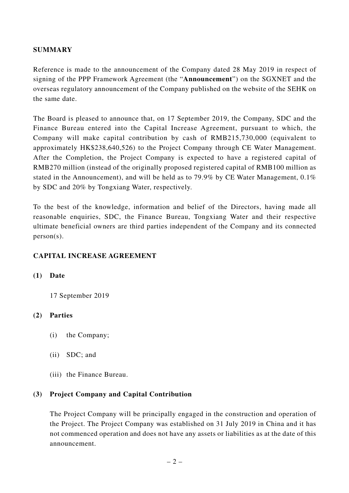### **SUMMARY**

Reference is made to the announcement of the Company dated 28 May 2019 in respect of signing of the PPP Framework Agreement (the "**Announcement**") on the SGXNET and the overseas regulatory announcement of the Company published on the website of the SEHK on the same date.

The Board is pleased to announce that, on 17 September 2019, the Company, SDC and the Finance Bureau entered into the Capital Increase Agreement, pursuant to which, the Company will make capital contribution by cash of RMB215,730,000 (equivalent to approximately HK\$238,640,526) to the Project Company through CE Water Management. After the Completion, the Project Company is expected to have a registered capital of RMB270 million (instead of the originally proposed registered capital of RMB100 million as stated in the Announcement), and will be held as to 79.9% by CE Water Management, 0.1% by SDC and 20% by Tongxiang Water, respectively.

To the best of the knowledge, information and belief of the Directors, having made all reasonable enquiries, SDC, the Finance Bureau, Tongxiang Water and their respective ultimate beneficial owners are third parties independent of the Company and its connected person(s).

### **CAPITAL INCREASE AGREEMENT**

### **(1) Date**

17 September 2019

## **(2) Parties**

- (i) the Company;
- (ii) SDC; and
- (iii) the Finance Bureau.

## **(3) Project Company and Capital Contribution**

The Project Company will be principally engaged in the construction and operation of the Project. The Project Company was established on 31 July 2019 in China and it has not commenced operation and does not have any assets or liabilities as at the date of this announcement.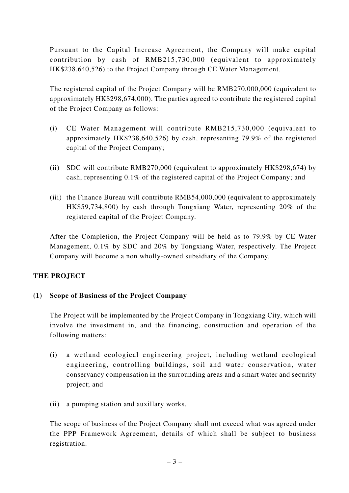Pursuant to the Capital Increase Agreement, the Company will make capital contribution by cash of RMB215,730,000 (equivalent to approximately HK\$238,640,526) to the Project Company through CE Water Management.

The registered capital of the Project Company will be RMB270,000,000 (equivalent to approximately HK\$298,674,000). The parties agreed to contribute the registered capital of the Project Company as follows:

- (i) CE Water Management will contribute RMB215,730,000 (equivalent to approximately HK\$238,640,526) by cash, representing 79.9% of the registered capital of the Project Company;
- (ii) SDC will contribute RMB270,000 (equivalent to approximately HK\$298,674) by cash, representing 0.1% of the registered capital of the Project Company; and
- (iii) the Finance Bureau will contribute RMB54,000,000 (equivalent to approximately HK\$59,734,800) by cash through Tongxiang Water, representing 20% of the registered capital of the Project Company.

After the Completion, the Project Company will be held as to 79.9% by CE Water Management, 0.1% by SDC and 20% by Tongxiang Water, respectively. The Project Company will become a non wholly-owned subsidiary of the Company.

## **THE PROJECT**

## **(1) Scope of Business of the Project Company**

The Project will be implemented by the Project Company in Tongxiang City, which will involve the investment in, and the financing, construction and operation of the following matters:

- (i) a wetland ecological engineering project, including wetland ecological engineering, controlling buildings, soil and water conservation, water conservancy compensation in the surrounding areas and a smart water and security project; and
- (ii) a pumping station and auxillary works.

The scope of business of the Project Company shall not exceed what was agreed under the PPP Framework Agreement, details of which shall be subject to business registration.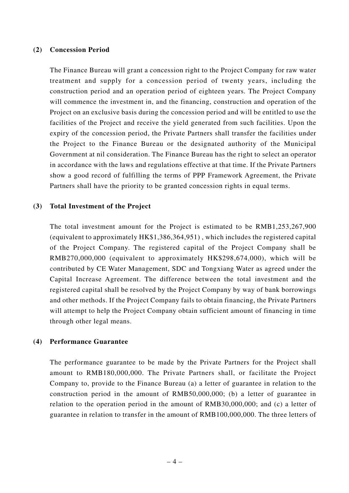#### **(2) Concession Period**

The Finance Bureau will grant a concession right to the Project Company for raw water treatment and supply for a concession period of twenty years, including the construction period and an operation period of eighteen years. The Project Company will commence the investment in, and the financing, construction and operation of the Project on an exclusive basis during the concession period and will be entitled to use the facilities of the Project and receive the yield generated from such facilities. Upon the expiry of the concession period, the Private Partners shall transfer the facilities under the Project to the Finance Bureau or the designated authority of the Municipal Government at nil consideration. The Finance Bureau has the right to select an operator in accordance with the laws and regulations effective at that time. If the Private Partners show a good record of fulfilling the terms of PPP Framework Agreement, the Private Partners shall have the priority to be granted concession rights in equal terms.

#### **(3) Total Investment of the Project**

The total investment amount for the Project is estimated to be RMB1,253,267,900 (equivalent to approximately HK\$1,386,364,951) , which includes the registered capital of the Project Company. The registered capital of the Project Company shall be RMB270,000,000 (equivalent to approximately HK\$298,674,000), which will be contributed by CE Water Management, SDC and Tongxiang Water as agreed under the Capital Increase Agreement. The difference between the total investment and the registered capital shall be resolved by the Project Company by way of bank borrowings and other methods. If the Project Company fails to obtain financing, the Private Partners will attempt to help the Project Company obtain sufficient amount of financing in time through other legal means.

#### **(4) Performance Guarantee**

The performance guarantee to be made by the Private Partners for the Project shall amount to RMB180,000,000. The Private Partners shall, or facilitate the Project Company to, provide to the Finance Bureau (a) a letter of guarantee in relation to the construction period in the amount of RMB50,000,000; (b) a letter of guarantee in relation to the operation period in the amount of RMB30,000,000; and (c) a letter of guarantee in relation to transfer in the amount of RMB100,000,000. The three letters of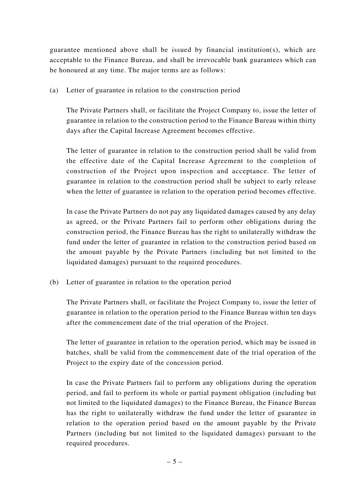guarantee mentioned above shall be issued by financial institution(s), which are acceptable to the Finance Bureau, and shall be irrevocable bank guarantees which can be honoured at any time. The major terms are as follows:

(a) Letter of guarantee in relation to the construction period

The Private Partners shall, or facilitate the Project Company to, issue the letter of guarantee in relation to the construction period to the Finance Bureau within thirty days after the Capital Increase Agreement becomes effective.

The letter of guarantee in relation to the construction period shall be valid from the effective date of the Capital Increase Agreement to the completion of construction of the Project upon inspection and acceptance. The letter of guarantee in relation to the construction period shall be subject to early release when the letter of guarantee in relation to the operation period becomes effective.

In case the Private Partners do not pay any liquidated damages caused by any delay as agreed, or the Private Partners fail to perform other obligations during the construction period, the Finance Bureau has the right to unilaterally withdraw the fund under the letter of guarantee in relation to the construction period based on the amount payable by the Private Partners (including but not limited to the liquidated damages) pursuant to the required procedures.

(b) Letter of guarantee in relation to the operation period

The Private Partners shall, or facilitate the Project Company to, issue the letter of guarantee in relation to the operation period to the Finance Bureau within ten days after the commencement date of the trial operation of the Project.

The letter of guarantee in relation to the operation period, which may be issued in batches, shall be valid from the commencement date of the trial operation of the Project to the expiry date of the concession period.

In case the Private Partners fail to perform any obligations during the operation period, and fail to perform its whole or partial payment obligation (including but not limited to the liquidated damages) to the Finance Bureau, the Finance Bureau has the right to unilaterally withdraw the fund under the letter of guarantee in relation to the operation period based on the amount payable by the Private Partners (including but not limited to the liquidated damages) pursuant to the required procedures.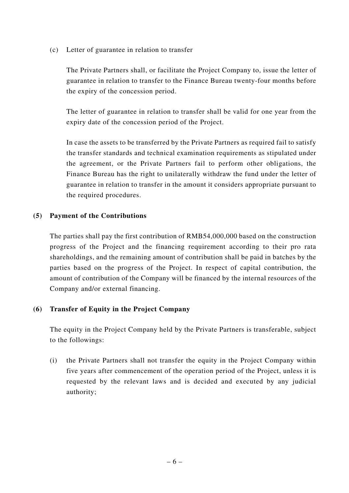(c) Letter of guarantee in relation to transfer

The Private Partners shall, or facilitate the Project Company to, issue the letter of guarantee in relation to transfer to the Finance Bureau twenty-four months before the expiry of the concession period.

The letter of guarantee in relation to transfer shall be valid for one year from the expiry date of the concession period of the Project.

In case the assets to be transferred by the Private Partners as required fail to satisfy the transfer standards and technical examination requirements as stipulated under the agreement, or the Private Partners fail to perform other obligations, the Finance Bureau has the right to unilaterally withdraw the fund under the letter of guarantee in relation to transfer in the amount it considers appropriate pursuant to the required procedures.

### **(5) Payment of the Contributions**

The parties shall pay the first contribution of RMB54,000,000 based on the construction progress of the Project and the financing requirement according to their pro rata shareholdings, and the remaining amount of contribution shall be paid in batches by the parties based on the progress of the Project. In respect of capital contribution, the amount of contribution of the Company will be financed by the internal resources of the Company and/or external financing.

## **(6) Transfer of Equity in the Project Company**

The equity in the Project Company held by the Private Partners is transferable, subject to the followings:

(i) the Private Partners shall not transfer the equity in the Project Company within five years after commencement of the operation period of the Project, unless it is requested by the relevant laws and is decided and executed by any judicial authority;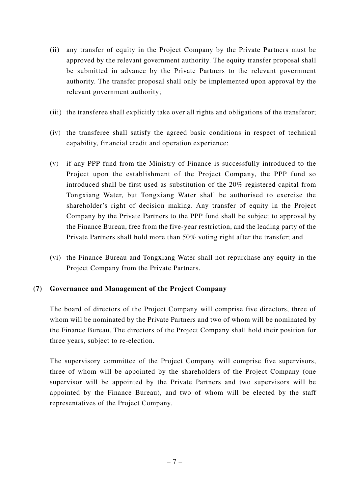- (ii) any transfer of equity in the Project Company by the Private Partners must be approved by the relevant government authority. The equity transfer proposal shall be submitted in advance by the Private Partners to the relevant government authority. The transfer proposal shall only be implemented upon approval by the relevant government authority;
- (iii) the transferee shall explicitly take over all rights and obligations of the transferor;
- (iv) the transferee shall satisfy the agreed basic conditions in respect of technical capability, financial credit and operation experience;
- (v) if any PPP fund from the Ministry of Finance is successfully introduced to the Project upon the establishment of the Project Company, the PPP fund so introduced shall be first used as substitution of the 20% registered capital from Tongxiang Water, but Tongxiang Water shall be authorised to exercise the shareholder's right of decision making. Any transfer of equity in the Project Company by the Private Partners to the PPP fund shall be subject to approval by the Finance Bureau, free from the five-year restriction, and the leading party of the Private Partners shall hold more than 50% voting right after the transfer; and
- (vi) the Finance Bureau and Tongxiang Water shall not repurchase any equity in the Project Company from the Private Partners.

### **(7) Governance and Management of the Project Company**

The board of directors of the Project Company will comprise five directors, three of whom will be nominated by the Private Partners and two of whom will be nominated by the Finance Bureau. The directors of the Project Company shall hold their position for three years, subject to re-election.

The supervisory committee of the Project Company will comprise five supervisors, three of whom will be appointed by the shareholders of the Project Company (one supervisor will be appointed by the Private Partners and two supervisors will be appointed by the Finance Bureau), and two of whom will be elected by the staff representatives of the Project Company.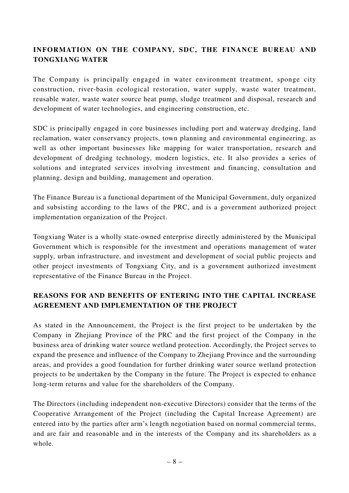## **INFORMATION ON THE COMPANY, SDC, THE FINANCE BUREAU AND TONGXIANG WATER**

The Company is principally engaged in water environment treatment, sponge city construction, river-basin ecological restoration, water supply, waste water treatment, reusable water, waste water source heat pump, sludge treatment and disposal, research and development of water technologies, and engineering construction, etc.

SDC is principally engaged in core businesses including port and waterway dredging, land reclamation, water conservancy projects, town planning and environmental engineering, as well as other important businesses like mapping for water transportation, research and development of dredging technology, modern logistics, etc. It also provides a series of solutions and integrated services involving investment and financing, consultation and planning, design and building, management and operation.

The Finance Bureau is a functional department of the Municipal Government, duly organized and subsisting according to the laws of the PRC, and is a government authorized project implementation organization of the Project.

Tongxiang Water is a wholly state-owned enterprise directly administered by the Municipal Government which is responsible for the investment and operations management of water supply, urban infrastructure, and investment and development of social public projects and other project investments of Tongxiang City, and is a government authorized investment representative of the Finance Bureau in the Project.

## **REASONS FOR AND BENEFITS OF ENTERING INTO THE CAPITAL INCREASE AGREEMENT AND IMPLEMENTATION OF THE PROJECT**

As stated in the Announcement, the Project is the first project to be undertaken by the Company in Zhejiang Province of the PRC and the first project of the Company in the business area of drinking water source wetland protection. Accordingly, the Project serves to expand the presence and influence of the Company to Zhejiang Province and the surrounding areas, and provides a good foundation for further drinking water source wetland protection projects to be undertaken by the Company in the future. The Project is expected to enhance long-term returns and value for the shareholders of the Company.

The Directors (including independent non-executive Directors) consider that the terms of the Cooperative Arrangement of the Project (including the Capital Increase Agreement) are entered into by the parties after arm's length negotiation based on normal commercial terms, and are fair and reasonable and in the interests of the Company and its shareholders as a whole.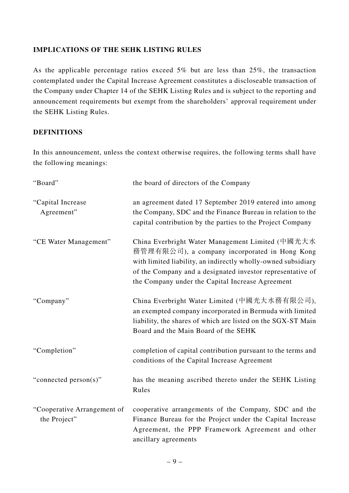### **IMPLICATIONS OF THE SEHK LISTING RULES**

As the applicable percentage ratios exceed 5% but are less than 25%, the transaction contemplated under the Capital Increase Agreement constitutes a discloseable transaction of the Company under Chapter 14 of the SEHK Listing Rules and is subject to the reporting and announcement requirements but exempt from the shareholders' approval requirement under the SEHK Listing Rules.

### **DEFINITIONS**

In this announcement, unless the context otherwise requires, the following terms shall have the following meanings:

| "Board"                                     | the board of directors of the Company                                                                                                                                                                                                                                                |
|---------------------------------------------|--------------------------------------------------------------------------------------------------------------------------------------------------------------------------------------------------------------------------------------------------------------------------------------|
| "Capital Increase<br>Agreement"             | an agreement dated 17 September 2019 entered into among<br>the Company, SDC and the Finance Bureau in relation to the<br>capital contribution by the parties to the Project Company                                                                                                  |
| "CE Water Management"                       | China Everbright Water Management Limited (中國光大水<br>務管理有限公司), a company incorporated in Hong Kong<br>with limited liability, an indirectly wholly-owned subsidiary<br>of the Company and a designated investor representative of<br>the Company under the Capital Increase Agreement |
| "Company"                                   | China Everbright Water Limited (中國光大水務有限公司),<br>an exempted company incorporated in Bermuda with limited<br>liability, the shares of which are listed on the SGX-ST Main<br>Board and the Main Board of the SEHK                                                                     |
| "Completion"                                | completion of capital contribution pursuant to the terms and<br>conditions of the Capital Increase Agreement                                                                                                                                                                         |
| "connected person(s)"                       | has the meaning ascribed thereto under the SEHK Listing<br>Rules                                                                                                                                                                                                                     |
| "Cooperative Arrangement of<br>the Project" | cooperative arrangements of the Company, SDC and the<br>Finance Bureau for the Project under the Capital Increase<br>Agreement, the PPP Framework Agreement and other<br>ancillary agreements                                                                                        |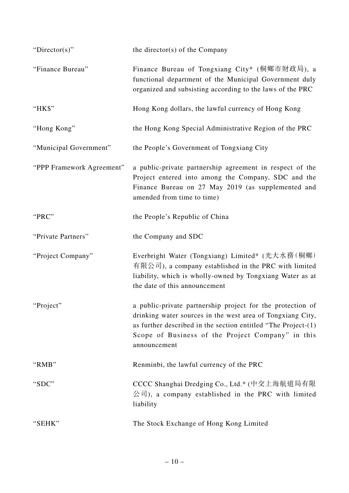| " $Directory$ "           | the director( $s$ ) of the Company                                                                                                                                                                                                                                |
|---------------------------|-------------------------------------------------------------------------------------------------------------------------------------------------------------------------------------------------------------------------------------------------------------------|
| "Finance Bureau"          | Finance Bureau of Tongxiang City* (桐鄉市財政局), a<br>functional department of the Municipal Government duly<br>organized and subsisting according to the laws of the PRC                                                                                              |
| "HK\$"                    | Hong Kong dollars, the lawful currency of Hong Kong                                                                                                                                                                                                               |
| "Hong Kong"               | the Hong Kong Special Administrative Region of the PRC                                                                                                                                                                                                            |
| "Municipal Government"    | the People's Government of Tongxiang City                                                                                                                                                                                                                         |
| "PPP Framework Agreement" | a public-private partnership agreement in respect of the<br>Project entered into among the Company, SDC and the<br>Finance Bureau on 27 May 2019 (as supplemented and<br>amended from time to time)                                                               |
| "PRC"                     | the People's Republic of China                                                                                                                                                                                                                                    |
| "Private Partners"        | the Company and SDC                                                                                                                                                                                                                                               |
| "Project Company"         | Everbright Water (Tongxiang) Limited* (光大水務 (桐鄉)<br>有限公司), a company established in the PRC with limited<br>liability, which is wholly-owned by Tongxiang Water as at<br>the date of this announcement                                                            |
| "Project"                 | a public-private partnership project for the protection of<br>drinking water sources in the west area of Tongxiang City,<br>as further described in the section entitled "The Project- $(1)$<br>Scope of Business of the Project Company" in this<br>announcement |
| "RMB"                     | Renminbi, the lawful currency of the PRC                                                                                                                                                                                                                          |
| "SDC"                     | CCCC Shanghai Dredging Co., Ltd.* (中交上海航道局有限<br>公司), a company established in the PRC with limited<br>liability                                                                                                                                                   |
| "SEHK"                    | The Stock Exchange of Hong Kong Limited                                                                                                                                                                                                                           |